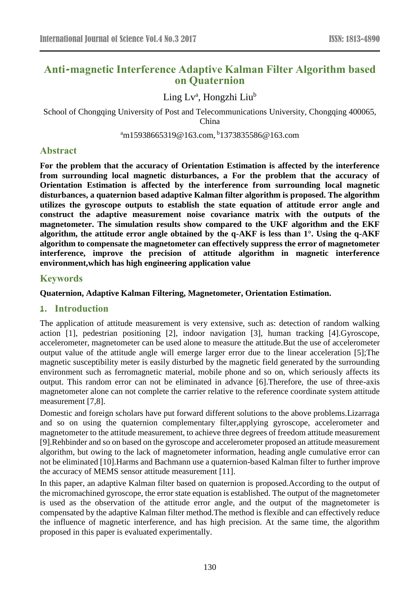# **Anti-magnetic Interference Adaptive Kalman Filter Algorithm based on Quaternion**

Ling Lv<sup>a</sup>, Hongzhi Liu<sup>b</sup>

School of Chongqing University of Post and Telecommunications University, Chongqing 400065, China

<sup>a</sup>m15938665319@163.com, <sup>b</sup>1373835586@163.com

# **Abstract**

**For the problem that the accuracy of Orientation Estimation is affected by the interference from surrounding local magnetic disturbances, a For the problem that the accuracy of Orientation Estimation is affected by the interference from surrounding local magnetic disturbances, a quaternion based adaptive Kalman filter algorithm is proposed. The algorithm utilizes the gyroscope outputs to establish the state equation of attitude error angle and construct the adaptive measurement noise covariance matrix with the outputs of the magnetometer. The simulation results show compared to the UKF algorithm and the EKF algorithm, the attitude error angle obtained by the q-AKF is less than 1°. Using the q-AKF algorithm to compensate the magnetometer can effectively suppress the error of magnetometer interference, improve the precision of attitude algorithm in magnetic interference environment,which has high engineering application value**

### **Keywords**

### **Quaternion, Adaptive Kalman Filtering, Magnetometer, Orientation Estimation.**

# **1. Introduction**

The application of attitude measurement is very extensive, such as: detection of random walking action [1], pedestrian positioning [2], indoor navigation [3], human tracking [4].Gyroscope, accelerometer, magnetometer can be used alone to measure the attitude.But the use of accelerometer output value of the attitude angle will emerge larger error due to the linear acceleration [5];The magnetic susceptibility meter is easily disturbed by the magnetic field generated by the surrounding environment such as ferromagnetic material, mobile phone and so on, which seriously affects its output. This random error can not be eliminated in advance [6].Therefore, the use of three-axis magnetometer alone can not complete the carrier relative to the reference coordinate system attitude measurement [7,8].

Domestic and foreign scholars have put forward different solutions to the above problems.Lizarraga and so on using the quaternion complementary filter,applying gyroscope, accelerometer and magnetometer to the attitude measurement, to achieve three degrees of freedom attitude measurement [9].Rehbinder and so on based on the gyroscope and accelerometer proposed an attitude measurement algorithm, but owing to the lack of magnetometer information, heading angle cumulative error can not be eliminated [10].Harms and Bachmann use a quaternion-based Kalman filter to further improve the accuracy of MEMS sensor attitude measurement [11].

In this paper, an adaptive Kalman filter based on quaternion is proposed.According to the output of the micromachined gyroscope, the error state equation is established. The output of the magnetometer is used as the observation of the attitude error angle, and the output of the magnetometer is compensated by the adaptive Kalman filter method.The method is flexible and can effectively reduce the influence of magnetic interference, and has high precision. At the same time, the algorithm proposed in this paper is evaluated experimentally.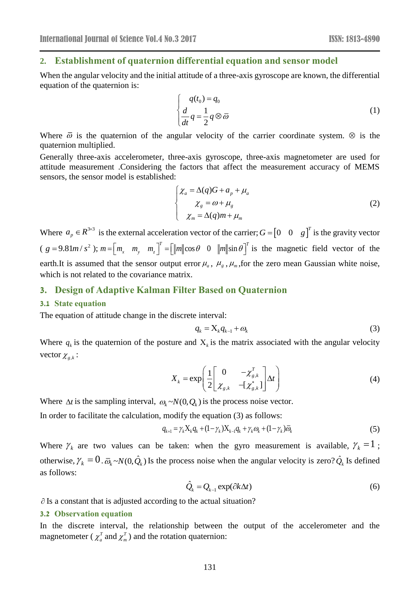### **2. Establishment of quaternion differential equation and sensor model**

When the angular velocity and the initial attitude of a three-axis gyroscope are known, the differential equation of the quaternion is:

$$
\begin{cases}\nq(t_0) = q_0 \\
\frac{d}{dt}q = \frac{1}{2}q \otimes \overline{\omega}\n\end{cases}
$$
\n(1)

Where  $\bar{\omega}$  is the quaternion of the angular velocity of the carrier coordinate system.  $\otimes$  is the quaternion multiplied.

Generally three-axis accelerometer, three-axis gyroscope, three-axis magnetometer are used for attitude measurement .Considering the factors that affect the measurement accuracy of MEMS sensors, the sensor model is established:

$$
\begin{cases}\n\chi_a = \Delta(q)G + a_p + \mu_a \\
\chi_g = \omega + \mu_g \\
\chi_m = \Delta(q)m + \mu_m\n\end{cases}
$$
\n(2)

Where  $a_p \in R^{3\times 3}$  is the external acceleration vector of the carrier;  $G = \begin{bmatrix} 0 & 0 & g \end{bmatrix}^T$  is the gravity vector  $(g = 9.81m/s^2); m = [m_x \ m_y \ m_z]^T = [m \cos \theta \ 0 \ m \sin \theta]^T$  is the magnetic field vector of the earth.It is assumed that the sensor output error  $\mu_a$ ,  $\mu_g$ ,  $\mu_m$ , for the zero mean Gaussian white noise, which is not related to the covariance matrix.

# **3. Design of Adaptive Kalman Filter Based on Quaternion**

#### **3.1 State equation**

The equation of attitude change in the discrete interval:

$$
q_k = \mathbf{X}_k q_{k-1} + \omega_k \tag{3}
$$

Where  $q_k$  is the quaternion of the posture and  $X_k$  is the matrix associated with the angular velocity vector  $\chi_{g,k}$ :

$$
X_{k} = \exp\left(\frac{1}{2}\begin{bmatrix} 0 & -\chi_{g,k}^{T} \\ \chi_{g,k} & -[\chi_{g,k}^{*}] \end{bmatrix} \Delta t\right)
$$
(4)

Where  $\Delta t$  is the sampling interval,  $\omega_k \sim N(0, Q_k)$  is the process noise vector.

In order to facilitate the calculation, modify the equation (3) as follows:

$$
q_{k+1} = \gamma_k X_k q_k + (1 - \gamma_k) X_{k-1} q_k + \gamma_k \omega_k + (1 - \gamma_k) \overline{\omega}_k
$$
 (5)

Where  $\gamma_k$  are two values can be taken: when the gyro measurement is available,  $\gamma_k = 1$ ; otherwise,  $\gamma_k = 0$ .  $\bar{\omega}_k \sim N(0, \hat{Q}_k)$  Is the process noise when the angular velocity is zero?  $\hat{Q}_k$  Is defined as follows:

$$
\hat{Q}_k = Q_{k-1} \exp(\partial k \Delta t) \tag{6}
$$

 $\partial$  Is a constant that is adjusted according to the actual situation?

#### **3.2 Observation equation**

In the discrete interval, the relationship between the output of the accelerometer and the magnetometer ( $\chi_a^T$  and  $\chi_m^T$ ) and the rotation quaternion: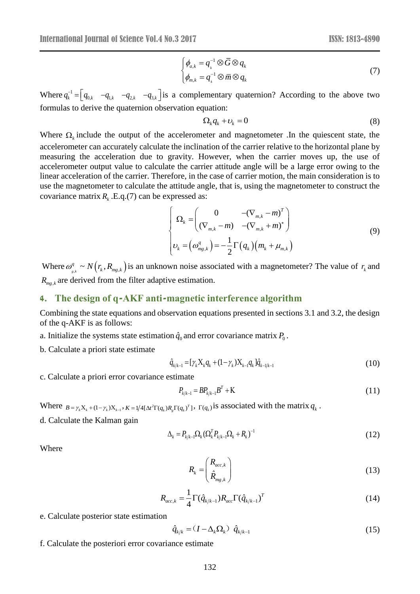$$
\begin{cases}\n\phi_{a,k} = q_k^{-1} \otimes \overline{G} \otimes q_k \\
\phi_{m,k} = q_k^{-1} \otimes \overline{m} \otimes q_k\n\end{cases}
$$
\n(7)

Where  $q_k^{-1} = \begin{bmatrix} q_{0,k} & -q_{1,k} & -q_{2,k} \end{bmatrix}$  as a complementary quaternion? According to the above two formulas to derive the quaternion observation equation:

$$
\Omega_k q_k + \nu_k = 0 \tag{8}
$$

Where  $\Omega_k$  include the output of the accelerometer and magnetometer .In the quiescent state, the accelerometer can accurately calculate the inclination of the carrier relative to the horizontal plane by measuring the acceleration due to gravity. However, when the carrier moves up, the use of accelerometer output value to calculate the carrier attitude angle will be a large error owing to the linear acceleration of the carrier. Therefore, in the case of carrier motion, the main consideration is to use the magnetometer to calculate the attitude angle, that is, using the magnetometer to construct the covariance matrix  $R_k$ . E.q.(7) can be expressed as:

$$
\begin{cases}\n\Omega_k = \begin{pmatrix}\n0 & -(\nabla_{m,k} - m)^T \\
(\nabla_{m,k} - m) & -(\nabla_{m,k} + m)^*\n\end{pmatrix} \\
\upsilon_k = \left(\omega_{mg,k}^q\right) = -\frac{1}{2}\Gamma\left(q_k\right)\left(m_k + \mu_{m,k}\right)\n\end{cases}
$$
\n(9)

Where  $\omega_{s,k}^q \sim N(r_k, R_{mg,k})$  is an unknown noise associated with a magnetometer? The value of  $r_k$  and  $R_{mg,k}$  are derived from the filter adaptive estimation.

# **4. The design of q-AKF anti-magnetic interference algorithm**

Combining the state equations and observation equations presented in sections 3.1 and 3.2, the design of the q-AKF is as follows:

- a. Initialize the systems state estimation  $\hat{q}_0$  and error covariance matrix  $P_0$ .
- b. Calculate a priori state estimate

$$
\hat{q}_{k/k-1} = [\gamma_k X_k q_k + (1 - \gamma_k) X_{k-1} q_k] \hat{q}_{k-1/k-1}
$$
\n(10)

c. Calculate a priori error covariance estimate

$$
P_{k/k-1} = BP_{k/k-1}B^T + K
$$
\n(11)

Where  $B = \gamma_k X_k + (1 - \gamma_k) X_{k-1}$ ,  $K = 1/4 [\Delta t^2 \Gamma(q_k) R_g \Gamma(q_k)^T]$ ,  $\Gamma(q_k)$  is associated with the matrix  $q_k$ .

d. Calculate the Kalman gain

$$
\Delta_{k} = P_{k/k-1} \Omega_{k} (\Omega_{k}^{T} P_{k/k-1} \Omega_{k} + R_{k})^{-1}
$$
\n(12)

Where

$$
R_k = \begin{pmatrix} R_{acc,k} \\ \hat{R}_{mg,k} \end{pmatrix} \tag{13}
$$

$$
R_{acc,k} = \frac{1}{4} \Gamma(\hat{q}_{k/k-1}) R_{acc} \Gamma(\hat{q}_{k/k-1})^T
$$
 (14)

e. Calculate posterior state estimation

$$
\hat{q}_{k/k} = (I - \Delta_k \Omega_k) \hat{q}_{k/k-1} \tag{15}
$$

f. Calculate the posteriori error covariance estimate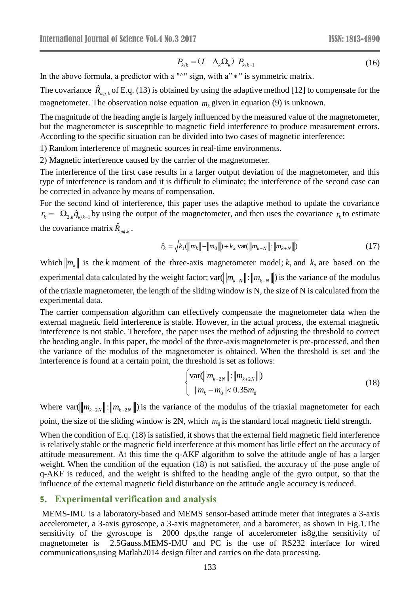$$
P_{k/k} = (I - \Delta_k \Omega_k) \ P_{k/k-1} \tag{16}
$$

In the above formula, a predictor with a " $\sim$ " sign, with a" $*$ " is symmetric matrix.

The covariance  $\hat{R}_{mg,k}$  of E.q. (13) is obtained by using the adaptive method [12] to compensate for the magnetometer. The observation noise equation  $m_k$  given in equation (9) is unknown.

The magnitude of the heading angle is largely influenced by the measured value of the magnetometer, but the magnetometer is susceptible to magnetic field interference to produce measurement errors. According to the specific situation can be divided into two cases of magnetic interference:

1) Random interference of magnetic sources in real-time environments.

2) Magnetic interference caused by the carrier of the magnetometer.

The interference of the first case results in a larger output deviation of the magnetometer, and this type of interference is random and it is difficult to eliminate; the interference of the second case can be corrected in advance by means of compensation.

For the second kind of interference, this paper uses the adaptive method to update the covariance  $r_k = -\Omega_{2,k} \hat{q}_{k/k-1}$  by using the output of the magnetometer, and then uses the covariance  $r_k$  to estimate the covariance matrix  $\hat{R}_{mg,k}$ .

$$
\hat{r}_k = \sqrt{k_1(\|m_k\| - \|m_0\|) + k_2 \text{ var}(\|m_{k-N}\| : \|m_{k+N}\|)}\tag{17}
$$

Which  $\|m_k\|$  is the k moment of the three-axis magnetometer model;  $k_1$  and  $k_2$  are based on the experimental data calculated by the weight factor;  $var(\|m_{k-N}\|: \|m_{k+N}\|)$  is the variance of the modulus of the triaxle magnetometer, the length of the sliding window is N, the size of N is calculated from the experimental data.

The carrier compensation algorithm can effectively compensate the magnetometer data when the external magnetic field interference is stable. However, in the actual process, the external magnetic interference is not stable. Therefore, the paper uses the method of adjusting the threshold to correct the heading angle. In this paper, the model of the three-axis magnetometer is pre-processed, and then the variance of the modulus of the magnetometer is obtained. When the threshold is set and the interference is found at a certain point, the threshold is set as follows:

$$
\begin{cases}\n\text{var}(\|m_{k-2N}\| : \|m_{k+2N}\|) \\
\mid m_k - m_0 \mid < 0.35 m_0\n\end{cases} \tag{18}
$$

Where  $var(\|m_{k-2N}\|:\|m_{k+2N}\|)$  is the variance of the modulus of the triaxial magnetometer for each point, the size of the sliding window is 2N, which  $m_0$  is the standard local magnetic field strength.

(*P<sub>i</sub>*</sub>  $-(I - \Delta_{x} \Omega_{k})$  *P<sub>i/k</sub>* i (16)<br>
<sup>*N*</sup><sup>*n*</sup> **sign, with a<sup>2</sup>**  $*$  **<sup>***Pi***</sup> is symmetric matrix.</sub> (** $\cos \theta$  **y is mishown.<br>**  $\cos \theta$  **y is mighten adaptive method [12] to compensate for the<br>
matrior** *m***<sub>***i***</sub> given in equat** When the condition of E.q. (18) is satisfied, it shows that the external field magnetic field interference is relatively stable or the magnetic field interference at this moment has little effect on the accuracy of attitude measurement. At this time the q-AKF algorithm to solve the attitude angle of has a larger weight. When the condition of the equation (18) is not satisfied, the accuracy of the pose angle of q-AKF is reduced, and the weight is shifted to the heading angle of the gyro output, so that the influence of the external magnetic field disturbance on the attitude angle accuracy is reduced.

## **5. Experimental verification and analysis**

MEMS-IMU is a laboratory-based and MEMS sensor-based attitude meter that integrates a 3-axis accelerometer, a 3-axis gyroscope, a 3-axis magnetometer, and a barometer, as shown in Fig.1.The sensitivity of the gyroscope is 2000 dps,the range of accelerometer is8g,the sensitivity of magnetometer is 2.5Gauss.MEMS-IMU and PC is the use of RS232 interface for wired communications,using Matlab2014 design filter and carries on the data processing.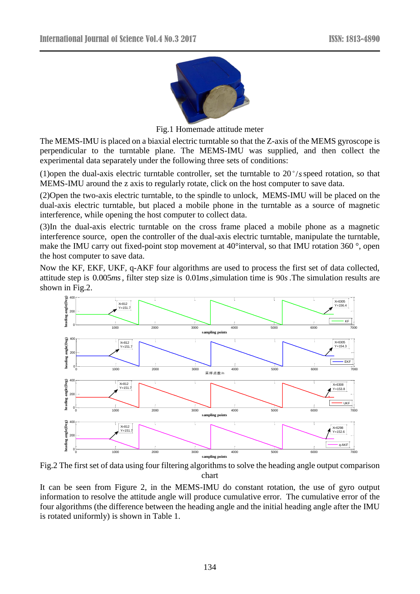

Fig.1 Homemade attitude meter

The MEMS-IMU is placed on a biaxial electric turntable so that the Z-axis of the MEMS gyroscope is perpendicular to the turntable plane. The MEMS-IMU was supplied, and then collect the experimental data separately under the following three sets of conditions:

(1)open the dual-axis electric turntable controller, set the turntable to 20 /*<sup>s</sup>* speed rotation, so that MEMS-IMU around the z axis to regularly rotate, click on the host computer to save data.

(2)Open the two-axis electric turntable, to the spindle to unlock, MEMS-IMU will be placed on the dual-axis electric turntable, but placed a mobile phone in the turntable as a source of magnetic interference, while opening the host computer to collect data.

(3)In the dual-axis electric turntable on the cross frame placed a mobile phone as a magnetic interference source, open the controller of the dual-axis electric turntable, manipulate the turntable, make the IMU carry out fixed-point stop movement at 40°interval, so that IMU rotation 360 °, open the host computer to save data.

Now the KF, EKF, UKF, q-AKF four algorithms are used to process the first set of data collected, attitude step is 0.005*ms*, filter step size is 0.01*ms* ,simulation time is 90*s* .The simulation results are shown in Fig.2.



Fig.2 The first set of data using four filtering algorithms to solve the heading angle output comparison chart

It can be seen from Figure 2, in the MEMS-IMU do constant rotation, the use of gyro output information to resolve the attitude angle will produce cumulative error. The cumulative error of the four algorithms (the difference between the heading angle and the initial heading angle after the IMU is rotated uniformly) is shown in Table 1.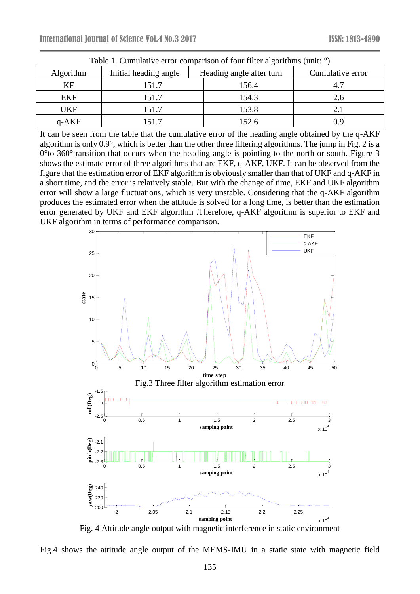| Table 1. Cumulative error comparison of four filter algorithms (unit: <sup>o</sup> ) |                       |                          |                  |
|--------------------------------------------------------------------------------------|-----------------------|--------------------------|------------------|
| Algorithm                                                                            | Initial heading angle | Heading angle after turn | Cumulative error |
| KF                                                                                   | 151.7                 | 156.4                    |                  |
| EKF                                                                                  | 151.7                 | 154.3                    | 2.6              |
| <b>UKF</b>                                                                           | 151.7                 | 153.8                    | 2.1              |
| $q$ -AKF                                                                             | 151.7                 | 152.6                    | 0.9              |

It can be seen from the table that the cumulative error of the heading angle obtained by the q-AKF algorithm is only 0.9°, which is better than the other three filtering algorithms. The jump in Fig. 2 is a 0°to 360°transition that occurs when the heading angle is pointing to the north or south. Figure 3 shows the estimate error of three algorithms that are EKF, q-AKF, UKF. It can be observed from the figure that the estimation error of EKF algorithm is obviously smaller than that of UKF and q-AKF in a short time, and the error is relatively stable. But with the change of time, EKF and UKF algorithm error will show a large fluctuations, which is very unstable. Considering that the q-AKF algorithm produces the estimated error when the attitude is solved for a long time, is better than the estimation error generated by UKF and EKF algorithm .Therefore, q-AKF algorithm is superior to EKF and UKF algorithm in terms of performance comparison.



Fig. 4 Attitude angle output with magnetic interference in static environment

Fig.4 shows the attitude angle output of the MEMS-IMU in a static state with magnetic field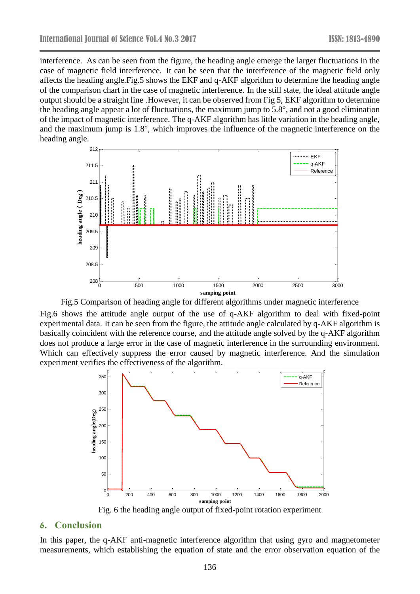interference. As can be seen from the figure, the heading angle emerge the larger fluctuations in the case of magnetic field interference. It can be seen that the interference of the magnetic field only affects the heading angle.Fig.5 shows the EKF and q-AKF algorithm to determine the heading angle of the comparison chart in the case of magnetic interference. In the still state, the ideal attitude angle output should be a straight line .However, it can be observed from Fig 5, EKF algorithm to determine the heading angle appear a lot of fluctuations, the maximum jump to 5.8°, and not a good elimination of the impact of magnetic interference. The q-AKF algorithm has little variation in the heading angle, and the maximum jump is 1.8°, which improves the influence of the magnetic interference on the heading angle.



Fig.5 Comparison of heading angle for different algorithms under magnetic interference

Fig.6 shows the attitude angle output of the use of q-AKF algorithm to deal with fixed-point experimental data. It can be seen from the figure, the attitude angle calculated by q-AKF algorithm is basically coincident with the reference course, and the attitude angle solved by the q-AKF algorithm does not produce a large error in the case of magnetic interference in the surrounding environment. Which can effectively suppress the error caused by magnetic interference. And the simulation experiment verifies the effectiveness of the algorithm.



Fig. 6 the heading angle output of fixed-point rotation experiment

### **6. Conclusion**

In this paper, the q-AKF anti-magnetic interference algorithm that using gyro and magnetometer measurements, which establishing the equation of state and the error observation equation of the